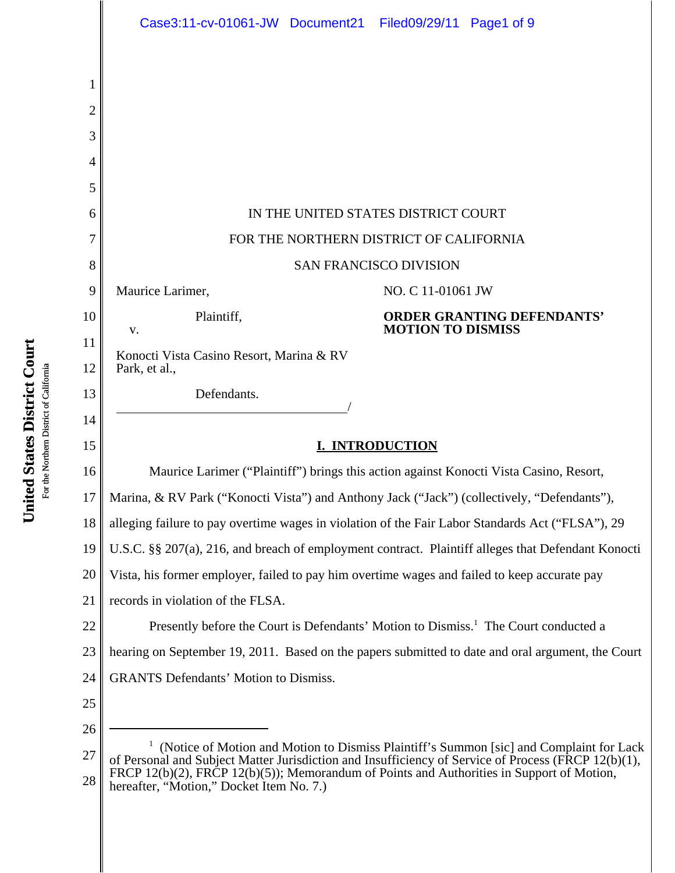|                 | Case3:11-cv-01061-JW Document21 Filed09/29/11 Page1 of 9                                                                                                                                                                                                                                                                                             |  |  |
|-----------------|------------------------------------------------------------------------------------------------------------------------------------------------------------------------------------------------------------------------------------------------------------------------------------------------------------------------------------------------------|--|--|
|                 |                                                                                                                                                                                                                                                                                                                                                      |  |  |
|                 |                                                                                                                                                                                                                                                                                                                                                      |  |  |
| $\overline{2}$  |                                                                                                                                                                                                                                                                                                                                                      |  |  |
| 3               |                                                                                                                                                                                                                                                                                                                                                      |  |  |
| 4               |                                                                                                                                                                                                                                                                                                                                                      |  |  |
| 5               |                                                                                                                                                                                                                                                                                                                                                      |  |  |
| 6               | IN THE UNITED STATES DISTRICT COURT                                                                                                                                                                                                                                                                                                                  |  |  |
| 7               | FOR THE NORTHERN DISTRICT OF CALIFORNIA                                                                                                                                                                                                                                                                                                              |  |  |
| 8               | <b>SAN FRANCISCO DIVISION</b>                                                                                                                                                                                                                                                                                                                        |  |  |
| 9               | Maurice Larimer,<br>NO. C 11-01061 JW                                                                                                                                                                                                                                                                                                                |  |  |
| 10<br>11        | <b>ORDER GRANTING DEFENDANTS'</b><br>Plaintiff,<br><b>MOTION TO DISMISS</b><br>V.                                                                                                                                                                                                                                                                    |  |  |
| 12              | Konocti Vista Casino Resort, Marina & RV<br>Park, et al.,                                                                                                                                                                                                                                                                                            |  |  |
| 13              | Defendants.                                                                                                                                                                                                                                                                                                                                          |  |  |
| 14              |                                                                                                                                                                                                                                                                                                                                                      |  |  |
| 15              | <b>I. INTRODUCTION</b>                                                                                                                                                                                                                                                                                                                               |  |  |
| 16              | Maurice Larimer ("Plaintiff") brings this action against Konocti Vista Casino, Resort,                                                                                                                                                                                                                                                               |  |  |
| 17 <sup>1</sup> | Marina, & RV Park ("Konocti Vista") and Anthony Jack ("Jack") (collectively, "Defendants"),                                                                                                                                                                                                                                                          |  |  |
| 18              | alleging failure to pay overtime wages in violation of the Fair Labor Standards Act ("FLSA"), 29                                                                                                                                                                                                                                                     |  |  |
| 19              | U.S.C. §§ 207(a), 216, and breach of employment contract. Plaintiff alleges that Defendant Konocti                                                                                                                                                                                                                                                   |  |  |
| 20              | Vista, his former employer, failed to pay him overtime wages and failed to keep accurate pay                                                                                                                                                                                                                                                         |  |  |
| 21              | records in violation of the FLSA.                                                                                                                                                                                                                                                                                                                    |  |  |
| 22              | Presently before the Court is Defendants' Motion to Dismiss. <sup>1</sup> The Court conducted a                                                                                                                                                                                                                                                      |  |  |
| 23              | hearing on September 19, 2011. Based on the papers submitted to date and oral argument, the Court                                                                                                                                                                                                                                                    |  |  |
| 24              | <b>GRANTS Defendants' Motion to Dismiss.</b>                                                                                                                                                                                                                                                                                                         |  |  |
| 25              |                                                                                                                                                                                                                                                                                                                                                      |  |  |
| 26              |                                                                                                                                                                                                                                                                                                                                                      |  |  |
| 27<br>28        | <sup>1</sup> (Notice of Motion and Motion to Dismiss Plaintiff's Summon [sic] and Complaint for Lack<br>of Personal and Subject Matter Jurisdiction and Insufficiency of Service of Process (FRCP 12(b)(1),<br>FRCP 12(b)(2), FRCP 12(b)(5)); Memorandum of Points and Authorities in Support of Motion,<br>hereafter, "Motion," Docket Item No. 7.) |  |  |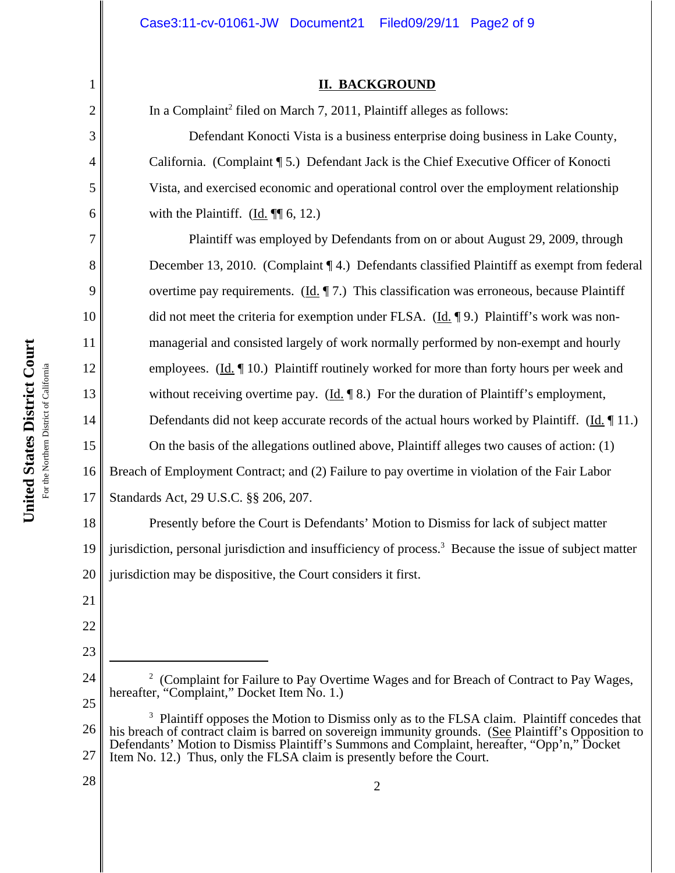### **II. BACKGROUND**

In a Complaint<sup>2</sup> filed on March 7, 2011, Plaintiff alleges as follows:

Defendant Konocti Vista is a business enterprise doing business in Lake County, California. (Complaint ¶ 5.) Defendant Jack is the Chief Executive Officer of Konocti Vista, and exercised economic and operational control over the employment relationship with the Plaintiff. (Id.  $\P$ [ 6, 12.)

Plaintiff was employed by Defendants from on or about August 29, 2009, through December 13, 2010. (Complaint ¶ 4.) Defendants classified Plaintiff as exempt from federal overtime pay requirements.  $(\underline{Id}, \P 7)$  This classification was erroneous, because Plaintiff did not meet the criteria for exemption under FLSA. (Id. ¶ 9.) Plaintiff's work was nonmanagerial and consisted largely of work normally performed by non-exempt and hourly employees. (Id. ¶ 10.) Plaintiff routinely worked for more than forty hours per week and without receiving overtime pay. (Id. 18.) For the duration of Plaintiff's employment, Defendants did not keep accurate records of the actual hours worked by Plaintiff. (Id. 11.) On the basis of the allegations outlined above, Plaintiff alleges two causes of action: (1) Breach of Employment Contract; and (2) Failure to pay overtime in violation of the Fair Labor Standards Act, 29 U.S.C. §§ 206, 207.

18 19 20 Presently before the Court is Defendants' Motion to Dismiss for lack of subject matter jurisdiction, personal jurisdiction and insufficiency of process.<sup>3</sup> Because the issue of subject matter jurisdiction may be dispositive, the Court considers it first.

23

1

2

3

4

5

6

7

8

9

10

11

12

13

14

15

16

17

24 25 <sup>2</sup> (Complaint for Failure to Pay Overtime Wages and for Breach of Contract to Pay Wages, hereafter, "Complaint," Docket Item No. 1.)

<sup>21</sup> 22

<sup>26</sup> 27 <sup>3</sup> Plaintiff opposes the Motion to Dismiss only as to the FLSA claim. Plaintiff concedes that his breach of contract claim is barred on sovereign immunity grounds. (See Plaintiff's Opposition to Defendants' Motion to Dismiss Plaintiff's Summons and Complaint, hereafter, "Opp'n," Docket Item No. 12.) Thus, only the FLSA claim is presently before the Court.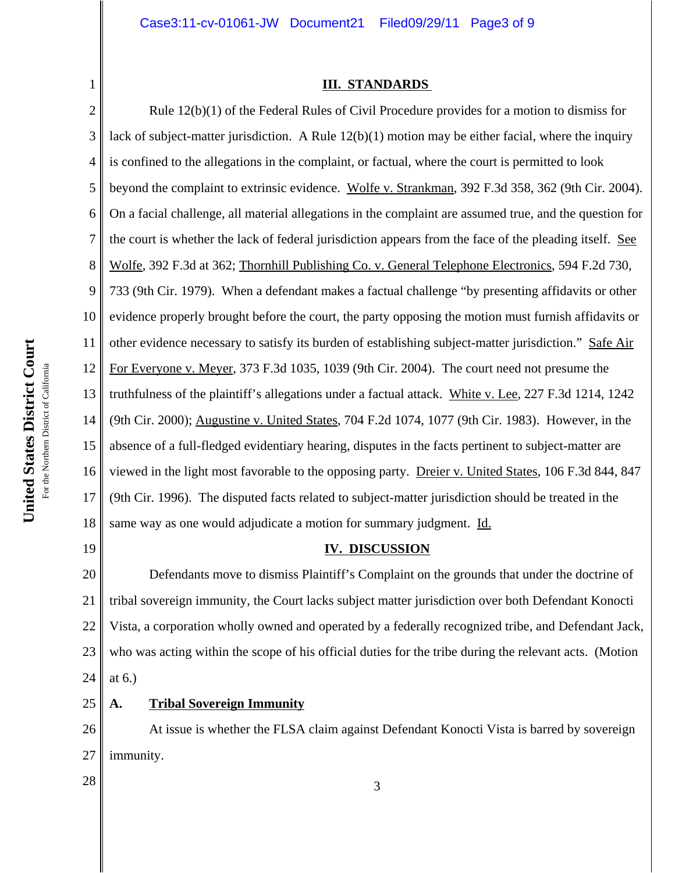## **III. STANDARDS**

2 3 4 5 6 7 8 9 10 11 12 13 14 15 16 17 18 Rule 12(b)(1) of the Federal Rules of Civil Procedure provides for a motion to dismiss for lack of subject-matter jurisdiction. A Rule  $12(b)(1)$  motion may be either facial, where the inquiry is confined to the allegations in the complaint, or factual, where the court is permitted to look beyond the complaint to extrinsic evidence. Wolfe v. Strankman, 392 F.3d 358, 362 (9th Cir. 2004). On a facial challenge, all material allegations in the complaint are assumed true, and the question for the court is whether the lack of federal jurisdiction appears from the face of the pleading itself. See Wolfe, 392 F.3d at 362; Thornhill Publishing Co. v. General Telephone Electronics, 594 F.2d 730, 733 (9th Cir. 1979). When a defendant makes a factual challenge "by presenting affidavits or other evidence properly brought before the court, the party opposing the motion must furnish affidavits or other evidence necessary to satisfy its burden of establishing subject-matter jurisdiction." Safe Air For Everyone v. Meyer, 373 F.3d 1035, 1039 (9th Cir. 2004). The court need not presume the truthfulness of the plaintiff's allegations under a factual attack. White v. Lee, 227 F.3d 1214, 1242 (9th Cir. 2000); Augustine v. United States, 704 F.2d 1074, 1077 (9th Cir. 1983). However, in the absence of a full-fledged evidentiary hearing, disputes in the facts pertinent to subject-matter are viewed in the light most favorable to the opposing party. Dreier v. United States, 106 F.3d 844, 847 (9th Cir. 1996). The disputed facts related to subject-matter jurisdiction should be treated in the same way as one would adjudicate a motion for summary judgment. Id.

19

1

# **IV. DISCUSSION**

20 21 22 23 24 Defendants move to dismiss Plaintiff's Complaint on the grounds that under the doctrine of tribal sovereign immunity, the Court lacks subject matter jurisdiction over both Defendant Konocti Vista, a corporation wholly owned and operated by a federally recognized tribe, and Defendant Jack, who was acting within the scope of his official duties for the tribe during the relevant acts. (Motion at 6.)

25 **A. Tribal Sovereign Immunity**

26 27 At issue is whether the FLSA claim against Defendant Konocti Vista is barred by sovereign immunity.

 $\begin{array}{|c|c|c|c|c|}\n \hline\n 28 & 3 \\
\hline\n \end{array}$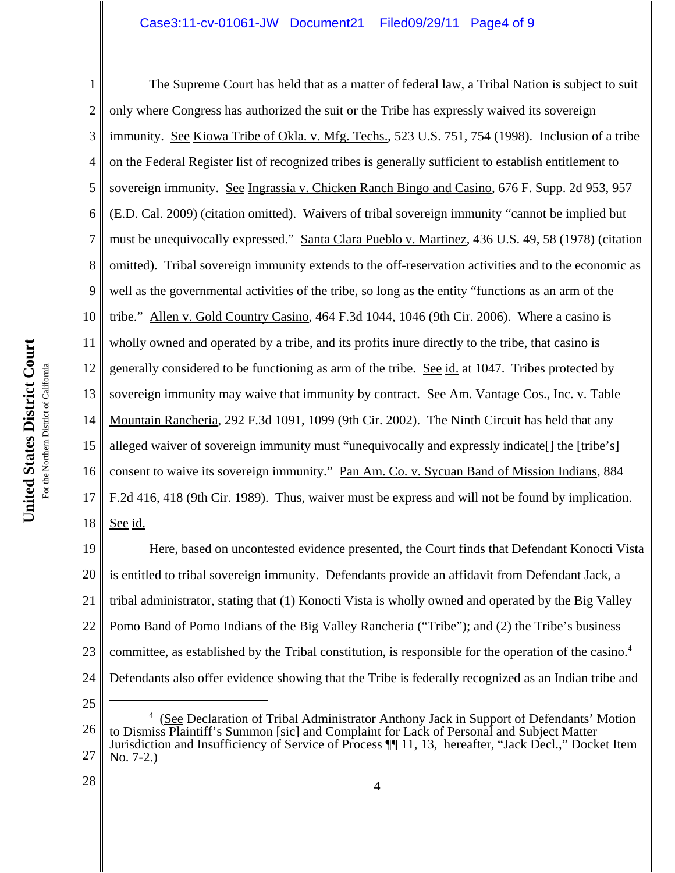## Case3:11-cv-01061-JW Document21 Filed09/29/11 Page4 of 9

4 5 6 7 8 9 10 11 United States District Court **United States District Court** 12 For the Northern District of California For the Northern District of California 13 14 15 16 17

1 2 3 18 The Supreme Court has held that as a matter of federal law, a Tribal Nation is subject to suit only where Congress has authorized the suit or the Tribe has expressly waived its sovereign immunity. See Kiowa Tribe of Okla. v. Mfg. Techs., 523 U.S. 751, 754 (1998). Inclusion of a tribe on the Federal Register list of recognized tribes is generally sufficient to establish entitlement to sovereign immunity. See Ingrassia v. Chicken Ranch Bingo and Casino, 676 F. Supp. 2d 953, 957 (E.D. Cal. 2009) (citation omitted). Waivers of tribal sovereign immunity "cannot be implied but must be unequivocally expressed." Santa Clara Pueblo v. Martinez, 436 U.S. 49, 58 (1978) (citation omitted). Tribal sovereign immunity extends to the off-reservation activities and to the economic as well as the governmental activities of the tribe, so long as the entity "functions as an arm of the tribe." Allen v. Gold Country Casino, 464 F.3d 1044, 1046 (9th Cir. 2006). Where a casino is wholly owned and operated by a tribe, and its profits inure directly to the tribe, that casino is generally considered to be functioning as arm of the tribe. See id. at 1047. Tribes protected by sovereign immunity may waive that immunity by contract. See Am. Vantage Cos., Inc. v. Table Mountain Rancheria, 292 F.3d 1091, 1099 (9th Cir. 2002). The Ninth Circuit has held that any alleged waiver of sovereign immunity must "unequivocally and expressly indicate[] the [tribe's] consent to waive its sovereign immunity." Pan Am. Co. v. Sycuan Band of Mission Indians, 884 F.2d 416, 418 (9th Cir. 1989). Thus, waiver must be express and will not be found by implication. See id.

19 20 21 22 23 24 Here, based on uncontested evidence presented, the Court finds that Defendant Konocti Vista is entitled to tribal sovereign immunity. Defendants provide an affidavit from Defendant Jack, a tribal administrator, stating that (1) Konocti Vista is wholly owned and operated by the Big Valley Pomo Band of Pomo Indians of the Big Valley Rancheria ("Tribe"); and (2) the Tribe's business committee, as established by the Tribal constitution, is responsible for the operation of the casino.4 Defendants also offer evidence showing that the Tribe is federally recognized as an Indian tribe and

25

28

<sup>26</sup> 27 <sup>4</sup> (See Declaration of Tribal Administrator Anthony Jack in Support of Defendants' Motion to Dismiss Plaintiff's Summon [sic] and Complaint for Lack of Personal and Subject Matter Jurisdiction and Insufficiency of Service of Process ¶¶ 11, 13, hereafter, "Jack Decl.," Docket Item No. 7-2.)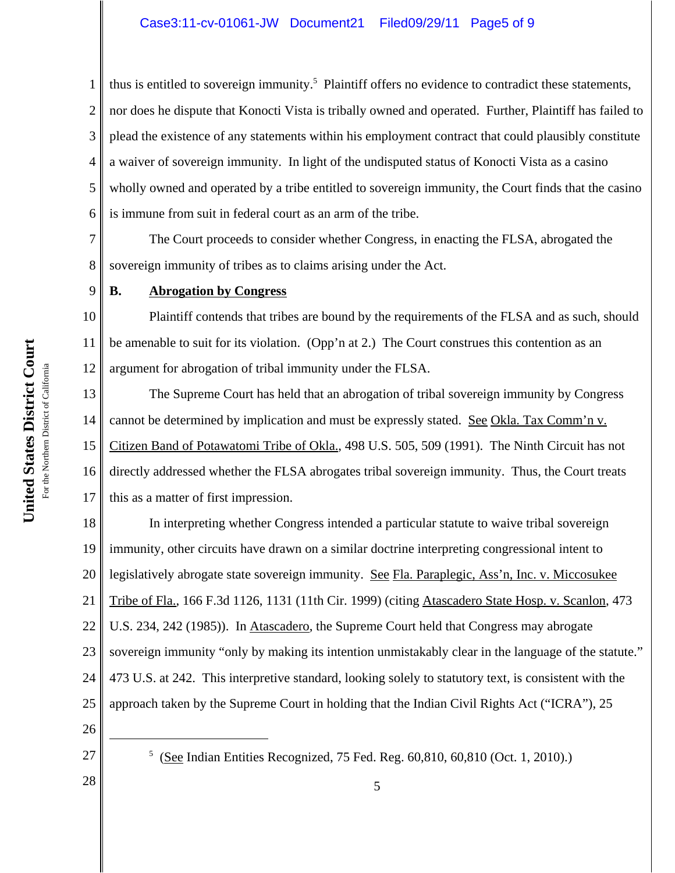1 2 3 4 5 6 thus is entitled to sovereign immunity.<sup>5</sup> Plaintiff offers no evidence to contradict these statements, nor does he dispute that Konocti Vista is tribally owned and operated. Further, Plaintiff has failed to plead the existence of any statements within his employment contract that could plausibly constitute a waiver of sovereign immunity. In light of the undisputed status of Konocti Vista as a casino wholly owned and operated by a tribe entitled to sovereign immunity, the Court finds that the casino is immune from suit in federal court as an arm of the tribe.

7 8 The Court proceeds to consider whether Congress, in enacting the FLSA, abrogated the sovereign immunity of tribes as to claims arising under the Act.

9

# **B. Abrogation by Congress**

10 11 12 Plaintiff contends that tribes are bound by the requirements of the FLSA and as such, should be amenable to suit for its violation. (Opp'n at 2.) The Court construes this contention as an argument for abrogation of tribal immunity under the FLSA.

13 14 15 16 17 The Supreme Court has held that an abrogation of tribal sovereign immunity by Congress cannot be determined by implication and must be expressly stated. See Okla. Tax Comm'n v. Citizen Band of Potawatomi Tribe of Okla., 498 U.S. 505, 509 (1991). The Ninth Circuit has not directly addressed whether the FLSA abrogates tribal sovereign immunity. Thus, the Court treats this as a matter of first impression.

18 19 20 21 22 23 24 25 In interpreting whether Congress intended a particular statute to waive tribal sovereign immunity, other circuits have drawn on a similar doctrine interpreting congressional intent to legislatively abrogate state sovereign immunity. See Fla. Paraplegic, Ass'n, Inc. v. Miccosukee Tribe of Fla., 166 F.3d 1126, 1131 (11th Cir. 1999) (citing Atascadero State Hosp. v. Scanlon, 473 U.S. 234, 242 (1985)). In Atascadero, the Supreme Court held that Congress may abrogate sovereign immunity "only by making its intention unmistakably clear in the language of the statute." 473 U.S. at 242. This interpretive standard, looking solely to statutory text, is consistent with the approach taken by the Supreme Court in holding that the Indian Civil Rights Act ("ICRA"), 25

26 27

28

 $5$  (See Indian Entities Recognized, 75 Fed. Reg. 60,810, 60,810 (Oct. 1, 2010).)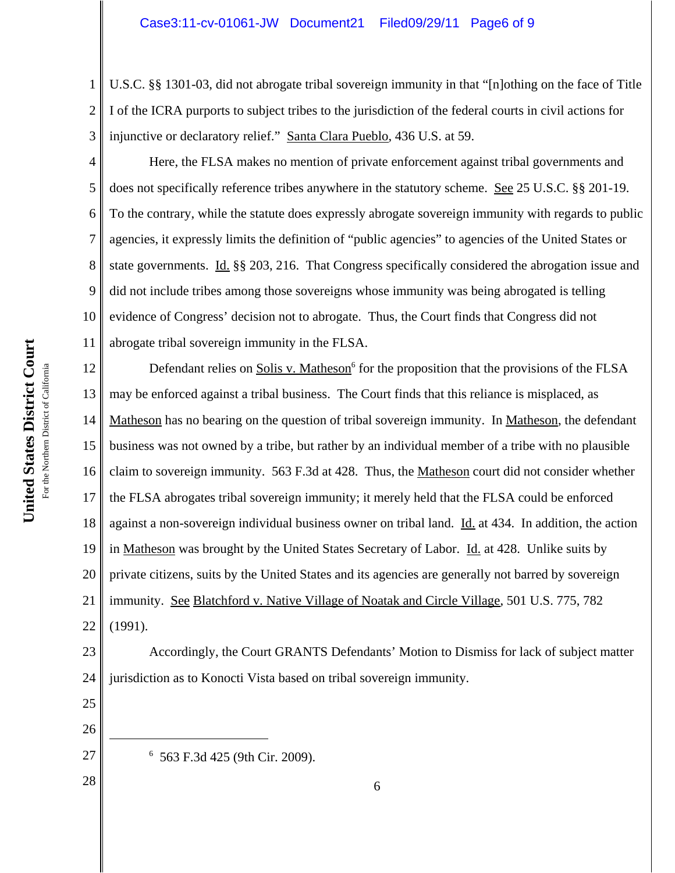1 2 3 U.S.C. §§ 1301-03, did not abrogate tribal sovereign immunity in that "[n]othing on the face of Title I of the ICRA purports to subject tribes to the jurisdiction of the federal courts in civil actions for injunctive or declaratory relief." Santa Clara Pueblo, 436 U.S. at 59.

4 5 6 7 8 9 10 11 Here, the FLSA makes no mention of private enforcement against tribal governments and does not specifically reference tribes anywhere in the statutory scheme. See 25 U.S.C. §§ 201-19. To the contrary, while the statute does expressly abrogate sovereign immunity with regards to public agencies, it expressly limits the definition of "public agencies" to agencies of the United States or state governments. Id. §§ 203, 216. That Congress specifically considered the abrogation issue and did not include tribes among those sovereigns whose immunity was being abrogated is telling evidence of Congress' decision not to abrogate. Thus, the Court finds that Congress did not abrogate tribal sovereign immunity in the FLSA.

12 13 14 15 16 17 18 19 20 21 22 Defendant relies on Solis v. Matheson<sup>6</sup> for the proposition that the provisions of the FLSA may be enforced against a tribal business. The Court finds that this reliance is misplaced, as Matheson has no bearing on the question of tribal sovereign immunity. In Matheson, the defendant business was not owned by a tribe, but rather by an individual member of a tribe with no plausible claim to sovereign immunity. 563 F.3d at 428. Thus, the Matheson court did not consider whether the FLSA abrogates tribal sovereign immunity; it merely held that the FLSA could be enforced against a non-sovereign individual business owner on tribal land. Id. at 434. In addition, the action in Matheson was brought by the United States Secretary of Labor. Id. at 428. Unlike suits by private citizens, suits by the United States and its agencies are generally not barred by sovereign immunity. See Blatchford v. Native Village of Noatak and Circle Village, 501 U.S. 775, 782 (1991).

23 24 Accordingly, the Court GRANTS Defendants' Motion to Dismiss for lack of subject matter jurisdiction as to Konocti Vista based on tribal sovereign immunity.

- 25
- 26 27

28

6 563 F.3d 425 (9th Cir. 2009).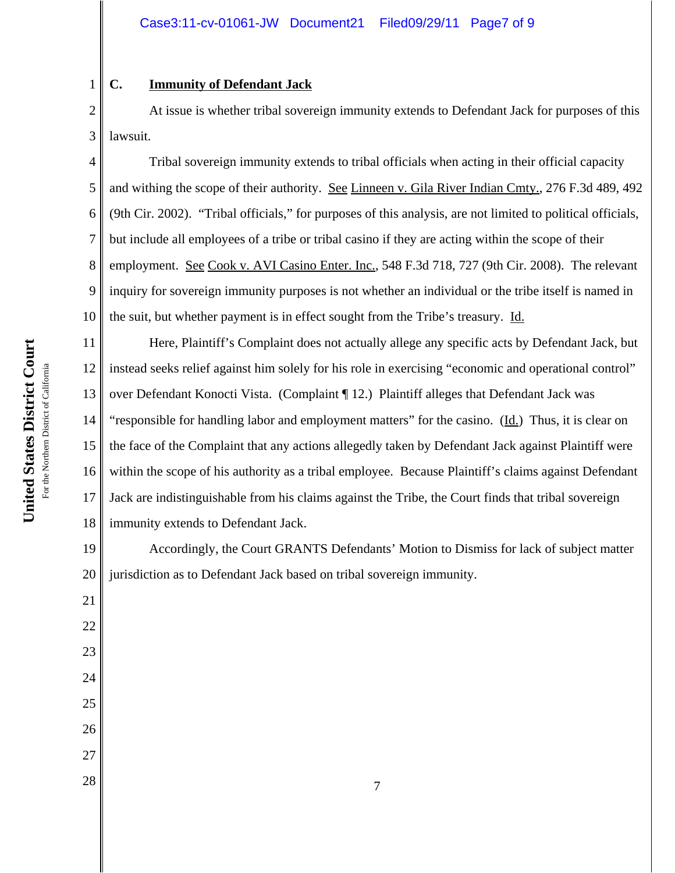# **C. Immunity of Defendant Jack**

1

2 3 At issue is whether tribal sovereign immunity extends to Defendant Jack for purposes of this lawsuit.

4 5 6 7 8 9 10 Tribal sovereign immunity extends to tribal officials when acting in their official capacity and withing the scope of their authority. See Linneen v. Gila River Indian Cmty., 276 F.3d 489, 492 (9th Cir. 2002). "Tribal officials," for purposes of this analysis, are not limited to political officials, but include all employees of a tribe or tribal casino if they are acting within the scope of their employment. See Cook v. AVI Casino Enter. Inc., 548 F.3d 718, 727 (9th Cir. 2008). The relevant inquiry for sovereign immunity purposes is not whether an individual or the tribe itself is named in the suit, but whether payment is in effect sought from the Tribe's treasury. Id.

11 12 13 14 15 16 17 18 Here, Plaintiff's Complaint does not actually allege any specific acts by Defendant Jack, but instead seeks relief against him solely for his role in exercising "economic and operational control" over Defendant Konocti Vista. (Complaint ¶ 12.) Plaintiff alleges that Defendant Jack was "responsible for handling labor and employment matters" for the casino. (Id.) Thus, it is clear on the face of the Complaint that any actions allegedly taken by Defendant Jack against Plaintiff were within the scope of his authority as a tribal employee. Because Plaintiff's claims against Defendant Jack are indistinguishable from his claims against the Tribe, the Court finds that tribal sovereign immunity extends to Defendant Jack.

19 20 Accordingly, the Court GRANTS Defendants' Motion to Dismiss for lack of subject matter jurisdiction as to Defendant Jack based on tribal sovereign immunity.

United States District Court **United States District Court** For the Northern District of California For the Northern District of California

21

22

23

24

25

26

27

 $\begin{array}{c|c} 28 & 7 \end{array}$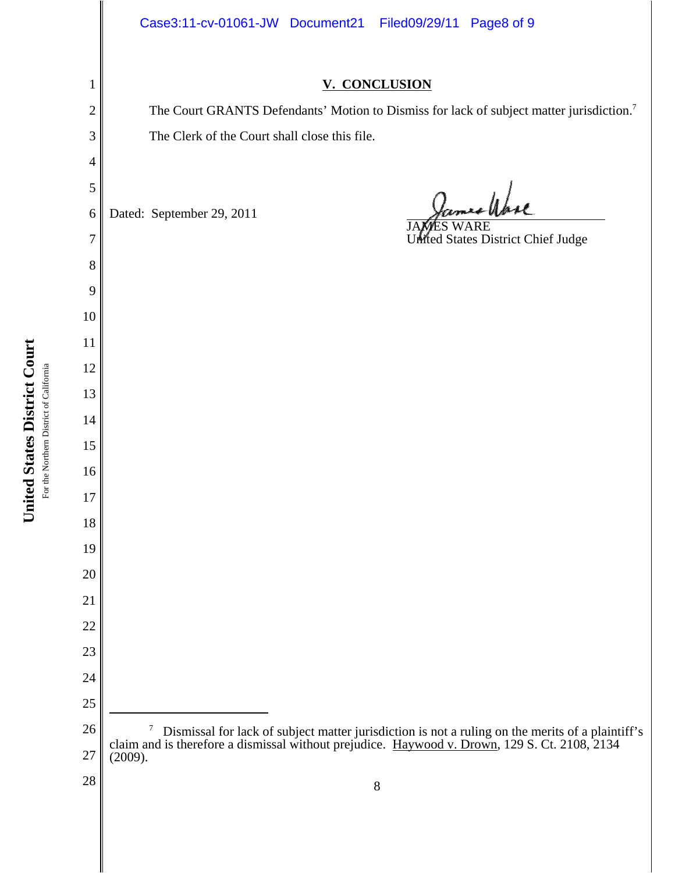## **V. CONCLUSION**

The Court GRANTS Defendants' Motion to Dismiss for lack of subject matter jurisdiction.<sup>7</sup> The Clerk of the Court shall close this file.

religie

 Dismissal for lack of subject matter jurisdiction is not a ruling on the merits of a plaintiff's claim and is therefore a dismissal without prejudice. Haywood v. Drown, 129 S. Ct. 2108, 2134 (2009). Dated: September 29, 2011 JAMES WARE United States District Chief Judge